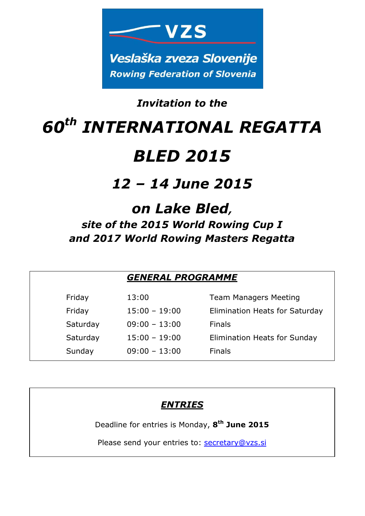

### *Invitation to the*

# *60th INTERNATIONAL REGATTA BLED 2015*

## *12 – 14 June 2015*

## *on Lake Bled, site of the 2015 World Rowing Cup I and 2017 World Rowing Masters Regatta*

|          | <b>GENERAL PROGRAMME</b> |                                |  |
|----------|--------------------------|--------------------------------|--|
| Friday   | 13:00                    | <b>Team Managers Meeting</b>   |  |
| Friday   | $15:00 - 19:00$          | Elimination Heats for Saturday |  |
| Saturday | $09:00 - 13:00$          | <b>Finals</b>                  |  |
| Saturday | $15:00 - 19:00$          | Elimination Heats for Sunday   |  |
| Sunday   | $09:00 - 13:00$          | <b>Finals</b>                  |  |

#### *ENTRIES*

Deadline for entries is Monday, **8 th June 2015**

Please send your entries to: secretary@vzs.si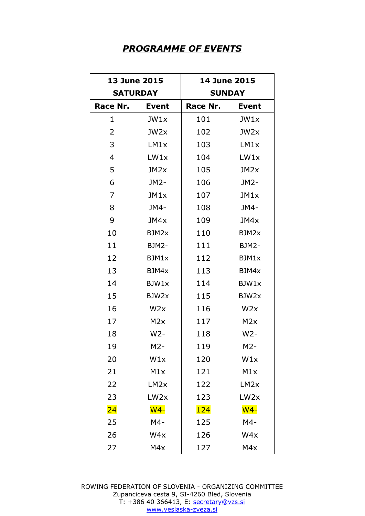#### *PROGRAMME OF EVENTS*

| <b>13 June 2015</b> |                  | <b>14 June 2015</b> |                  |  |
|---------------------|------------------|---------------------|------------------|--|
| <b>SATURDAY</b>     |                  |                     | <b>SUNDAY</b>    |  |
| Race Nr.            | <b>Event</b>     | Race Nr.            | <b>Event</b>     |  |
| 1                   | JW1x             | 101                 | JW1x             |  |
| 2                   | JW2x             | 102                 | JW <sub>2x</sub> |  |
| 3                   | LM1x             | 103                 | LM1x             |  |
| 4                   | LW1x             | 104                 | LW1x             |  |
| 5                   | JM <sub>2x</sub> | 105                 | JM2x             |  |
| 6                   | JM2-             | 106                 | JM2-             |  |
| 7                   | JM1x             | 107                 | JM1x             |  |
| 8                   | JM4-             | 108                 | JM4-             |  |
| 9                   | JM4x             | 109                 | JM4x             |  |
| 10                  | BJM2x            | 110                 | BJM2x            |  |
| 11                  | BJM2-            | 111                 | BJM2-            |  |
| 12                  | BJM1x            | 112                 | BJM1x            |  |
| 13                  | BJM4x            | 113                 | BJM4x            |  |
| 14                  | BJW1x            | 114                 | BJW1x            |  |
| 15                  | BJW2x            | 115                 | BJW2x            |  |
| 16                  | W <sub>2x</sub>  | 116                 | W2x              |  |
| 17                  | M <sub>2</sub> x | 117                 | M2x              |  |
| 18                  | $W2-$            | 118                 | $W2-$            |  |
| 19                  | M2-              | 119                 | $M2-$            |  |
| 20                  | W1x              | 120                 | W1x              |  |
| 21                  | M1x              | 121                 | M1x              |  |
| 22                  | LM <sub>2x</sub> | 122                 | LM <sub>2x</sub> |  |
| 23                  | LW <sub>2x</sub> | 123                 | LW <sub>2x</sub> |  |
| $\overline{24}$     | $W4-$            | <b>124</b>          | $W4-$            |  |
| 25                  | $M4-$            | 125                 | $M4-$            |  |
| 26                  | W4x              | 126                 | W4x              |  |
| 27                  | M4x              | 127                 | M4x              |  |